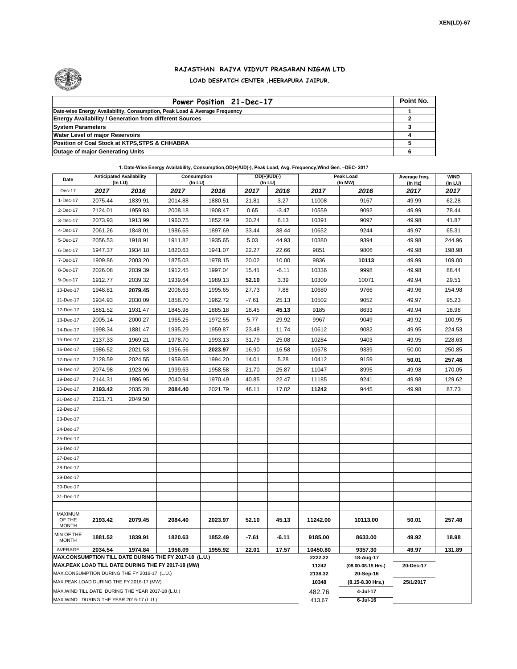

## **RAJASTHAN RAJYA VIDYUT PRASARAN NIGAM LTD LOAD DESPATCH CENTER ,HEERAPURA JAIPUR.**

| Power Position 21-Dec-17                                                  | Point No. |
|---------------------------------------------------------------------------|-----------|
| Date-wise Energy Availability, Consumption, Peak Load & Average Frequency |           |
| <b>Energy Availability / Generation from different Sources</b>            |           |
| <b>System Parameters</b>                                                  |           |
| <b>Water Level of major Reservoirs</b>                                    |           |
| Position of Coal Stock at KTPS, STPS & CHHABRA                            |           |
| <b>Outage of major Generating Units</b>                                   |           |

## **1. Date-Wise Energy Availability, Consumption,OD(+)/UD(-), Peak Load, Avg. Frequency,Wind Gen. –DEC- 2017**

| Date                                                                                                         | <b>Anticipated Availability</b><br>(In LU)        |         | Consumption<br>(In LU) |         | $OD(+)/UD(-)$<br>(In LU) |         |                  | Peak Load<br>(In MW)            | Average freq.<br>(In Hz) | <b>WIND</b><br>(in LU) |
|--------------------------------------------------------------------------------------------------------------|---------------------------------------------------|---------|------------------------|---------|--------------------------|---------|------------------|---------------------------------|--------------------------|------------------------|
| Dec-17                                                                                                       | 2017                                              | 2016    | 2017                   | 2016    | 2017                     | 2016    | 2017             | 2016                            | 2017                     | 2017                   |
| 1-Dec-17                                                                                                     | 2075.44                                           | 1839.91 | 2014.88                | 1880.51 | 21.81                    | 3.27    | 11008            | 9167                            | 49.99                    | 62.28                  |
| 2-Dec-17                                                                                                     | 2124.01                                           | 1959.83 | 2008.18                | 1908.47 | 0.65                     | $-3.47$ | 10559            | 9092                            | 49.99                    | 78.44                  |
| 3-Dec-17                                                                                                     | 2073.93                                           | 1913.99 | 1960.75                | 1852.49 | 30.24                    | 6.13    | 10391            | 9097                            | 49.98                    | 41.87                  |
| 4-Dec-17                                                                                                     | 2061.26                                           | 1848.01 | 1986.65                | 1897.69 | 33.44                    | 38.44   | 10652            | 9244                            | 49.97                    | 65.31                  |
| 5-Dec-17                                                                                                     | 2056.53                                           | 1918.91 | 1911.82                | 1935.65 | 5.03                     | 44.93   | 10380            | 9394                            | 49.98                    | 244.96                 |
| 6-Dec-17                                                                                                     | 1947.37                                           | 1934.18 | 1820.63                | 1941.07 | 22.27                    | 22.66   | 9851             | 9806                            | 49.98                    | 198.98                 |
| 7-Dec-17                                                                                                     | 1909.86                                           | 2003.20 | 1875.03                | 1978.15 | 20.02                    | 10.00   | 9836             | 10113                           | 49.99                    | 109.00                 |
| 8-Dec-17                                                                                                     | 2026.08                                           | 2039.39 | 1912.45                | 1997.04 | 15.41                    | $-6.11$ | 10336            | 9998                            | 49.98                    | 88.44                  |
| 9-Dec-17                                                                                                     | 1912.77                                           | 2039.32 | 1939.64                | 1989.13 | 52.10                    | 3.39    | 10309            | 10071                           | 49.94                    | 29.51                  |
| 10-Dec-17                                                                                                    | 1948.81                                           | 2079.45 | 2006.63                | 1995.65 | 27.73                    | 7.88    | 10680            | 9766                            | 49.96                    | 154.98                 |
| 11-Dec-17                                                                                                    | 1934.93                                           | 2030.09 | 1858.70                | 1962.72 | $-7.61$                  | 25.13   | 10502            | 9052                            | 49.97                    | 95.23                  |
| 12-Dec-17                                                                                                    | 1881.52                                           | 1931.47 | 1845.98                | 1885.18 | 18.45                    | 45.13   | 9185             | 8633                            | 49.94                    | 18.98                  |
| 13-Dec-17                                                                                                    | 2005.14                                           | 2000.27 | 1965.25                | 1972.55 | 5.77                     | 29.92   | 9967             | 9049                            | 49.92                    | 100.95                 |
| 14-Dec-17                                                                                                    | 1998.34                                           | 1881.47 | 1995.29                | 1959.87 | 23.48                    | 11.74   | 10612            | 9082                            | 49.95                    | 224.53                 |
| 15-Dec-17                                                                                                    | 2137.33                                           | 1969.21 | 1978.70                | 1993.13 | 31.79                    | 25.08   | 10284            | 9403                            | 49.95                    | 228.63                 |
| 16-Dec-17                                                                                                    | 1986.52                                           | 2021.53 | 1956.56                | 2023.97 | 16.90                    | 16.58   | 10578            | 9339                            | 50.00                    | 250.85                 |
| 17-Dec-17                                                                                                    | 2128.59                                           | 2024.55 | 1959.65                | 1994.20 | 14.01                    | 5.28    | 10412            | 9159                            | 50.01                    | 257.48                 |
| 18-Dec-17                                                                                                    | 2074.98                                           | 1923.96 | 1999.63                | 1958.58 | 21.70                    | 25.87   | 11047            | 8995                            | 49.98                    | 170.05                 |
| 19-Dec-17                                                                                                    | 2144.31                                           | 1986.95 | 2040.94                | 1970.49 | 40.85                    | 22.47   | 11185            | 9241                            | 49.98                    | 129.62                 |
| 20-Dec-17                                                                                                    | 2193.42                                           | 2035.28 | 2084.40                | 2021.79 | 46.11                    | 17.02   | 11242            | 9445                            | 49.98                    | 87.73                  |
| 21-Dec-17                                                                                                    | 2121.71                                           | 2049.50 |                        |         |                          |         |                  |                                 |                          |                        |
| 22-Dec-17                                                                                                    |                                                   |         |                        |         |                          |         |                  |                                 |                          |                        |
| 23-Dec-17                                                                                                    |                                                   |         |                        |         |                          |         |                  |                                 |                          |                        |
| 24-Dec-17                                                                                                    |                                                   |         |                        |         |                          |         |                  |                                 |                          |                        |
| 25-Dec-17                                                                                                    |                                                   |         |                        |         |                          |         |                  |                                 |                          |                        |
| 26-Dec-17                                                                                                    |                                                   |         |                        |         |                          |         |                  |                                 |                          |                        |
| 27-Dec-17                                                                                                    |                                                   |         |                        |         |                          |         |                  |                                 |                          |                        |
| 28-Dec-17                                                                                                    |                                                   |         |                        |         |                          |         |                  |                                 |                          |                        |
| 29-Dec-17                                                                                                    |                                                   |         |                        |         |                          |         |                  |                                 |                          |                        |
| 30-Dec-17                                                                                                    |                                                   |         |                        |         |                          |         |                  |                                 |                          |                        |
| 31-Dec-17                                                                                                    |                                                   |         |                        |         |                          |         |                  |                                 |                          |                        |
| <b>MAXIMUM</b>                                                                                               |                                                   |         |                        |         |                          |         |                  |                                 |                          |                        |
| OF THE<br><b>MONTH</b>                                                                                       | 2193.42                                           | 2079.45 | 2084.40                | 2023.97 | 52.10                    | 45.13   | 11242.00         | 10113.00                        | 50.01                    | 257.48                 |
| MIN OF THE<br><b>MONTH</b>                                                                                   | 1881.52                                           | 1839.91 | 1820.63                | 1852.49 | $-7.61$                  | $-6.11$ | 9185.00          | 8633.00                         | 49.92                    | 18.98                  |
| AVERAGE                                                                                                      | 2034.54                                           | 1974.84 | 1956.09                | 1955.92 | 22.01                    | 17.57   | 10450.80         | 9357.30                         | 49.97                    | 131.89                 |
| MAX.CONSUMPTION TILL DATE DURING THE FY 2017-18 (L.U.)<br>MAX.PEAK LOAD TILL DATE DURING THE FY 2017-18 (MW) |                                                   |         |                        |         |                          | 2222.22 | 18-Aug-17        |                                 |                          |                        |
|                                                                                                              | MAX.CONSUMPTION DURING THE FY 2016-17 (L.U.)      |         |                        |         |                          |         | 11242<br>2138.32 | (08.00-08.15 Hrs.)<br>20-Sep-16 | 20-Dec-17                |                        |
|                                                                                                              | MAX.PEAK LOAD DURING THE FY 2016-17 (MW)          |         |                        |         |                          |         | 10348            | (8.15-8.30 Hrs.)                | 25/1/2017                |                        |
|                                                                                                              | MAX.WIND TILL DATE DURING THE YEAR 2017-18 (L.U.) |         |                        |         |                          |         | 482.76           | 4-Jul-17                        |                          |                        |
|                                                                                                              | MAX.WIND DURING THE YEAR 2016-17 (L.U.)           |         |                        |         |                          |         | 413.67           | $6$ -Jul-16                     |                          |                        |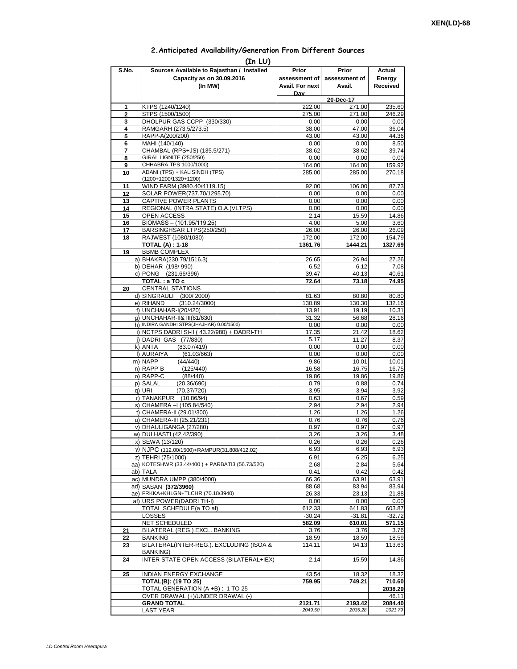## **2.Anticipated Availability/Generation From Different Sources**

| (In LU)        |                                                                          |                 |                     |                   |  |  |  |  |
|----------------|--------------------------------------------------------------------------|-----------------|---------------------|-------------------|--|--|--|--|
| S.No.          | Sources Available to Rajasthan / Installed                               | Prior           | Prior               | Actual            |  |  |  |  |
|                | Capacity as on 30.09.2016                                                | assessment of I | assessment of       | Energy            |  |  |  |  |
|                | (In MW)                                                                  | Avail. For next | Avail.              | Received          |  |  |  |  |
|                |                                                                          | Dav             |                     |                   |  |  |  |  |
| 1              | KTPS (1240/1240)                                                         | 222.00          | 20-Dec-17<br>271.00 | 235.60            |  |  |  |  |
| $\overline{2}$ | STPS (1500/1500)                                                         | 275.00          | 271.00              | 246.29            |  |  |  |  |
| 3              | DHOLPUR GAS CCPP (330/330)                                               | 0.00            | 0.00                | 0.00              |  |  |  |  |
| 4              | RAMGARH (273.5/273.5)                                                    | 38.00           | 47.00               | 36.04             |  |  |  |  |
| 5              | RAPP-A(200/200)                                                          | 43.00           | 43.00               | 44.36             |  |  |  |  |
| 6              | MAHI (140/140)                                                           | 0.00            | 0.00                | 8.50              |  |  |  |  |
| 7<br>8         | CHAMBAL (RPS+JS) (135.5/271)<br>GIRAL LIGNITE (250/250)                  | 38.62<br>0.00   | 38.62<br>0.00       | 39.74<br>0.00     |  |  |  |  |
| 9              | CHHABRA TPS 1000/1000)                                                   | 164.00          | 164.00              | 159.92            |  |  |  |  |
| 10             | ADANI (TPS) + KALISINDH (TPS)                                            | 285.00          | 285.00              | 270.18            |  |  |  |  |
|                | (1200+1200/1320+1200)                                                    |                 |                     |                   |  |  |  |  |
| 11             | WIND FARM (3980.40/4119.15)                                              | 92.00           | 106.00              | 87.73             |  |  |  |  |
| 12             | SOLAR POWER(737.70/1295.70)                                              | 0.00            | 0.00                | 0.00              |  |  |  |  |
| 13<br>14       | CAPTIVE POWER PLANTS<br>REGIONAL (INTRA STATE) O.A. (VLTPS)              | 0.00<br>0.00    | 0.00<br>0.00        | 0.00<br>0.00      |  |  |  |  |
| 15             | <b>OPEN ACCESS</b>                                                       | 2.14            | 15.59               | 14.86             |  |  |  |  |
| 16             | BIOMASS - (101.95/119.25)                                                | 4.00            | 5.00                | 3.60              |  |  |  |  |
| 17             | BARSINGHSAR LTPS(250/250)                                                | 26.00           | 26.00               | 26.09             |  |  |  |  |
| 18             | RAJWEST (1080/1080)                                                      | 172.00          | 172.00              | 154.79            |  |  |  |  |
|                | <b>TOTAL (A): 1-18</b>                                                   | 1361.76         | 1444.21             | 1327.69           |  |  |  |  |
| 19             | <b>BBMB COMPLEX</b>                                                      |                 |                     |                   |  |  |  |  |
|                | a) BHAKRA(230.79/1516.3)<br>b) DEHAR (198/990)                           | 26.65<br>6.52   | 26.94<br>6.12       | 27.26<br>7.08     |  |  |  |  |
|                | c) PONG (231.66/396)                                                     | 39.47           | 40.13               | 40.61             |  |  |  |  |
|                | TOTAL: a TO c                                                            | 72.64           | 73.18               | 74.95             |  |  |  |  |
| 20             | <b>CENTRAL STATIONS</b>                                                  |                 |                     |                   |  |  |  |  |
|                | d) SINGRAULI (300/2000)                                                  | 81.63           | 80.80               | 80.80             |  |  |  |  |
|                | e) RIHAND<br>(310.24/3000)                                               | 130.89          | 130.30              | 132.16            |  |  |  |  |
|                | f) UNCHAHAR-I(20/420)                                                    | 13.91<br>31.32  | 19.19               | 10.31<br>28.16    |  |  |  |  |
|                | g) UNCHAHAR-II& III(61/630)<br>h) INDIRA GANDHI STPS(JHAJHAR) 0.00/1500) | 0.00            | 56.68<br>0.00       | 0.00              |  |  |  |  |
|                | i) NCTPS DADRI St-II (43.22/980) + DADRI-TH                              | 17.35           | 21.42               | 18.62             |  |  |  |  |
|                | j) DADRI GAS (77/830)                                                    | 5.17            | 11.27               | 8.37              |  |  |  |  |
|                | (83.07/419)<br>k) ANTA                                                   | 0.00            | 0.00                | 0.00              |  |  |  |  |
|                | I) AURAIYA<br>(61.03/663)                                                | 0.00            | 0.00                | 0.00              |  |  |  |  |
|                | m) NAPP<br>(44/440)<br>n) RAPP-B<br>(125/440)                            | 9.86<br>16.58   | 10.01<br>16.75      | 10.01<br>16.75    |  |  |  |  |
|                | o) RAPP-C<br>(88/440)                                                    | 19.86           | 19.86               | 19.86             |  |  |  |  |
|                | p) SALAL<br>(20.36/690)                                                  | 0.79            | 0.88                | 0.74              |  |  |  |  |
|                | q) URI<br>(70.37/720)                                                    | 3.95            | 3.94                | 3.92              |  |  |  |  |
|                | r) TANAKPUR (10.86/94)                                                   | 0.63            | 0.67                | 0.59              |  |  |  |  |
|                | s) CHAMERA - (105.84/540)                                                | 2.94            | 2.94                | 2.94              |  |  |  |  |
|                | t) CHAMERA-II (29.01/300)<br>u) CHAMERA-III (25.21/231)                  | 1.26<br>0.76    | 1.26<br>0.76        | 1.26<br>0.76      |  |  |  |  |
|                | v) DHAULIGANGA (27/280)                                                  | 0.97            | 0.97                | 0.97              |  |  |  |  |
|                | w) DULHASTI (42.42/390)                                                  | 3.26            | 3.26                | 3.48              |  |  |  |  |
|                | x) SEWA (13/120)                                                         | 0.26            | 0.26                | 0.26              |  |  |  |  |
|                | y) NJPC (112.00/1500)+RAMPUR(31.808/412.02)                              | 6.93            | 6.93                | 6.93              |  |  |  |  |
|                | z) TEHRI (75/1000)                                                       | 6.91            | 6.25                | 6.25              |  |  |  |  |
|                | aa) KOTESHWR (33.44/400) + PARBATI3 (56.73/520)                          | 2.68            | 2.84                | 5.64              |  |  |  |  |
|                | ab) TALA<br>ac) MUNDRA UMPP (380/4000)                                   | 0.41<br>66.36   | 0.42<br>63.91       | 0.42<br>63.91     |  |  |  |  |
|                | ad) SASAN (372/3960)                                                     | 88.68           | 83.94               | 83.94             |  |  |  |  |
|                | ae) FRKKA+KHLGN+TLCHR (70.18/3940)                                       | 26.33           | 23.13               | 21.88             |  |  |  |  |
|                | af) URS POWER(DADRITH-I)                                                 | 0.00            | 0.00                | 0.00              |  |  |  |  |
|                | TOTAL SCHEDULE(a TO af)                                                  | 612.33          | 641.83              | 603.87            |  |  |  |  |
|                | LOSSES                                                                   | $-30.24$        | $-31.81$            | $-32.72$          |  |  |  |  |
|                | <b>NET SCHEDULED</b><br>BILATERAL (REG.) EXCL. BANKING                   | 582.09          | 610.01              | 571.15            |  |  |  |  |
| 21<br>22       | BANKING                                                                  | 3.76<br>18.59   | 3.76<br>18.59       | 3.76<br>18.59     |  |  |  |  |
| 23             | BILATERAL(INTER-REG.). EXCLUDING (ISOA &                                 | 114.11          | 94.13               | 113.63            |  |  |  |  |
|                | BANKING)                                                                 |                 |                     |                   |  |  |  |  |
| 24             | INTER STATE OPEN ACCESS (BILATERAL+IEX)                                  | $-2.14$         | $-15.59$            | $-14.86$          |  |  |  |  |
|                |                                                                          |                 |                     |                   |  |  |  |  |
| 25             | <b>INDIAN ENERGY EXCHANGE</b>                                            | 43.54           | 18.32               | 18.32             |  |  |  |  |
|                | <b>TOTAL(B): (19 TO 25)</b><br>TOTAL GENERATION (A +B) : 1 TO 25         | 759.95          | 749.21              | 710.60<br>2038.29 |  |  |  |  |
|                | OVER DRAWAL (+)/UNDER DRAWAL (-)                                         |                 |                     | 46.11             |  |  |  |  |
|                | <b>GRAND TOTAL</b>                                                       | 2121.71         | 2193.42             | 2084.40           |  |  |  |  |
|                | <b>LAST YEAR</b>                                                         | 2049.50         | 2035.28             | 2021.79           |  |  |  |  |